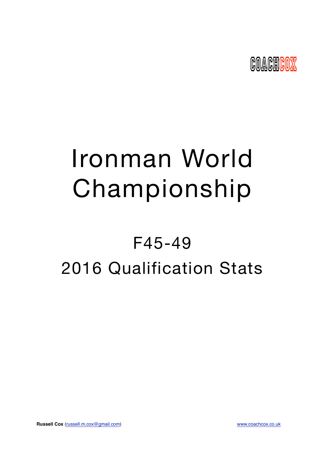

# Ironman World Championship

## F45-49 2016 Qualification Stats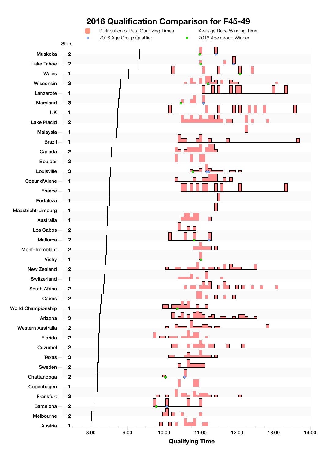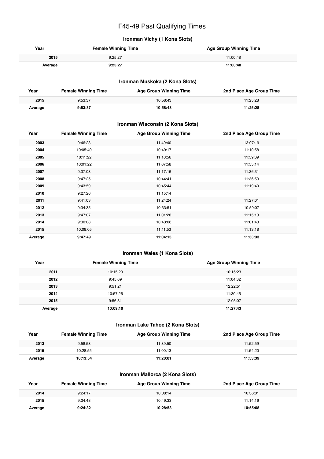## F45-49 Past Qualifying Times

## **Ironman Vichy (1 Kona Slots)**

| Year    | <b>Female Winning Time</b> | <b>Age Group Winning Time</b> |
|---------|----------------------------|-------------------------------|
| 2015    | 9:25:27                    | 11:00:48                      |
| Average | 9:25:27                    | 11:00:48                      |

#### **Ironman Muskoka (2 Kona Slots)**

| Year    | <b>Female Winning Time</b> | <b>Age Group Winning Time</b> | 2nd Place Age Group Time |
|---------|----------------------------|-------------------------------|--------------------------|
| 2015    | 9:53:37                    | 10:58:43                      | 11:25:28                 |
| Average | 9:53:37                    | 10:58:43                      | 11:25:28                 |

#### **Ironman Wisconsin (2 Kona Slots)**

| Year    | <b>Female Winning Time</b> | <b>Age Group Winning Time</b> | 2nd Place Age Group Time |
|---------|----------------------------|-------------------------------|--------------------------|
| 2003    | 9:46:28                    | 11:49:40                      | 13:07:19                 |
| 2004    | 10:05:40                   | 10:49:17                      | 11:10:58                 |
| 2005    | 10:11:22                   | 11:10:56                      | 11:59:39                 |
| 2006    | 10:01:22                   | 11:07:58                      | 11:55:14                 |
| 2007    | 9:37:03                    | 11:17:16                      | 11:36:31                 |
| 2008    | 9:47:25                    | 10:44:41                      | 11:36:53                 |
| 2009    | 9:43:59                    | 10:45:44                      | 11:19:40                 |
| 2010    | 9:27:26                    | 11:15:14                      |                          |
| 2011    | 9:41:03                    | 11:24:24                      | 11:27:01                 |
| 2012    | 9:34:35                    | 10:33:51                      | 10:59:07                 |
| 2013    | 9:47:07                    | 11:01:26                      | 11:15:13                 |
| 2014    | 9:30:08                    | 10:43:06                      | 11:01:43                 |
| 2015    | 10:08:05                   | 11:11:53                      | 11:13:18                 |
| Average | 9:47:49                    | 11:04:15                      | 11:33:33                 |

## **Ironman Wales (1 Kona Slots)**

| Year    | <b>Female Winning Time</b> | <b>Age Group Winning Time</b> |
|---------|----------------------------|-------------------------------|
| 2011    | 10:15:23                   | 10:15:23                      |
| 2012    | 9:45:09                    | 11:04:32                      |
| 2013    | 9:51:21                    | 12:22:51                      |
| 2014    | 10:57:26                   | 11:30:45                      |
| 2015    | 9:56:31                    | 12:05:07                      |
| Average | 10:09:10                   | 11:27:43                      |

#### **Ironman Lake Tahoe (2 Kona Slots)**

| Year    | <b>Female Winning Time</b> | Age Group Winning Time | 2nd Place Age Group Time |
|---------|----------------------------|------------------------|--------------------------|
| 2013    | 9:58:53                    | 11:39:50               | 11:52:59                 |
| 2015    | 10:28:55                   | 11:00:13               | 11:54:20                 |
| Average | 10:13:54                   | 11:20:01               | 11:53:39                 |

#### **Ironman Mallorca (2 Kona Slots)**

| Year    | <b>Female Winning Time</b> | <b>Age Group Winning Time</b> | 2nd Place Age Group Time |
|---------|----------------------------|-------------------------------|--------------------------|
| 2014    | 9:24:17                    | 10:08:14                      | 10:36:01                 |
| 2015    | 9:24:48                    | 10:49:33                      | 11:14:16                 |
| Average | 9:24:32                    | 10:28:53                      | 10:55:08                 |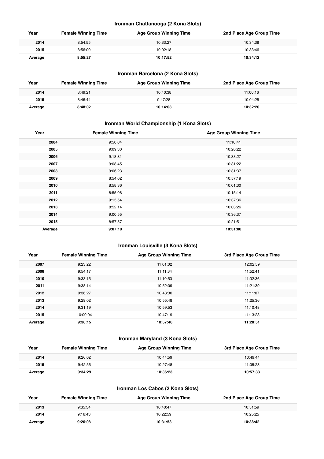#### **Ironman Chattanooga (2 Kona Slots)**

| Year    | <b>Female Winning Time</b> | <b>Age Group Winning Time</b> | 2nd Place Age Group Time |
|---------|----------------------------|-------------------------------|--------------------------|
| 2014    | 8:54:55                    | 10:33:27                      | 10:34:38                 |
| 2015    | 8:56:00                    | 10:02:18                      | 10:33:46                 |
| Average | 8:55:27                    | 10:17:52                      | 10:34:12                 |

## **Ironman Barcelona (2 Kona Slots)**

| Year    | <b>Female Winning Time</b> | <b>Age Group Winning Time</b> | 2nd Place Age Group Time |
|---------|----------------------------|-------------------------------|--------------------------|
| 2014    | 8:49:21                    | 10:40:38                      | 11:00:16                 |
| 2015    | 8:46:44                    | 9:47:28                       | 10:04:25                 |
| Average | 8:48:02                    | 10:14:03                      | 10:32:20                 |

## **Ironman World Championship (1 Kona Slots)**

| Year    | <b>Female Winning Time</b> | <b>Age Group Winning Time</b> |
|---------|----------------------------|-------------------------------|
| 2004    | 9:50:04                    | 11:10:41                      |
| 2005    | 9:09:30                    | 10:26:22                      |
| 2006    | 9:18:31                    | 10:38:27                      |
| 2007    | 9:08:45                    | 10:31:22                      |
| 2008    | 9:06:23                    | 10:31:37                      |
| 2009    | 8:54:02                    | 10:57:19                      |
| 2010    | 8:58:36                    | 10:01:30                      |
| 2011    | 8:55:08                    | 10:15:14                      |
| 2012    | 9:15:54                    | 10:37:36                      |
| 2013    | 8:52:14                    | 10:03:26                      |
| 2014    | 9:00:55                    | 10:36:37                      |
| 2015    | 8:57:57                    | 10:21:51                      |
| Average | 9:07:19                    | 10:31:00                      |

#### **Ironman Louisville (3 Kona Slots)**

| Year    | <b>Female Winning Time</b> | <b>Age Group Winning Time</b> | 3rd Place Age Group Time |
|---------|----------------------------|-------------------------------|--------------------------|
| 2007    | 9:23:22                    | 11:01:02                      | 12:02:59                 |
| 2008    | 9:54:17                    | 11:11:34                      | 11:52:41                 |
| 2010    | 9:33:15                    | 11:10:53                      | 11:32:36                 |
| 2011    | 9:38:14                    | 10:52:09                      | 11:21:39                 |
| 2012    | 9:36:27                    | 10:43:30                      | 11:11:07                 |
| 2013    | 9:29:02                    | 10:55:48                      | 11:25:36                 |
| 2014    | 9:31:19                    | 10:59:53                      | 11:10:48                 |
| 2015    | 10:00:04                   | 10:47:19                      | 11:13:23                 |
| Average | 9:38:15                    | 10:57:46                      | 11:28:51                 |

## **Ironman Maryland (3 Kona Slots)**

| Year    | <b>Female Winning Time</b> | <b>Age Group Winning Time</b> | 3rd Place Age Group Time |
|---------|----------------------------|-------------------------------|--------------------------|
| 2014    | 9:26:02                    | 10:44:59                      | 10:49:44                 |
| 2015    | 9:42:56                    | 10:27:48                      | 11:05:23                 |
| Average | 9:34:29                    | 10:36:23                      | 10:57:33                 |

## **Ironman Los Cabos (2 Kona Slots)**

| Year    | <b>Female Winning Time</b> | <b>Age Group Winning Time</b> | 2nd Place Age Group Time |
|---------|----------------------------|-------------------------------|--------------------------|
| 2013    | 9:35:34                    | 10:40:47                      | 10:51:59                 |
| 2014    | 9:16:43                    | 10:22:59                      | 10:25:25                 |
| Average | 9:26:08                    | 10:31:53                      | 10:38:42                 |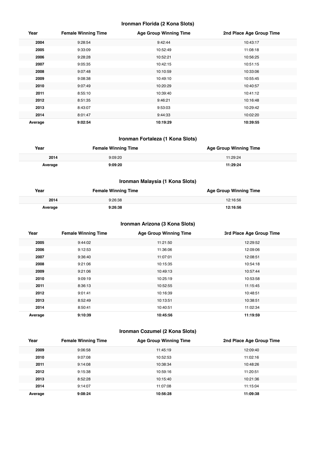#### **Ironman Florida (2 Kona Slots)**

| Year    | <b>Female Winning Time</b> | <b>Age Group Winning Time</b> | 2nd Place Age Group Time |
|---------|----------------------------|-------------------------------|--------------------------|
| 2004    | 9:28:54                    | 9:42:44                       | 10:43:17                 |
| 2005    | 9:33:09                    | 10:52:49                      | 11:08:18                 |
| 2006    | 9:28:28                    | 10:52:21                      | 10:56:25                 |
| 2007    | 9:05:35                    | 10:42:15                      | 10:51:15                 |
| 2008    | 9:07:48                    | 10:10:59                      | 10:33:06                 |
| 2009    | 9:08:38                    | 10:49:10                      | 10:55:45                 |
| 2010    | 9:07:49                    | 10:20:29                      | 10:40:57                 |
| 2011    | 8:55:10                    | 10:39:40                      | 10:41:12                 |
| 2012    | 8:51:35                    | 9:46:21                       | 10:16:48                 |
| 2013    | 8:43:07                    | 9:53:03                       | 10:29:42                 |
| 2014    | 8:01:47                    | 9:44:33                       | 10:02:20                 |
| Average | 9:02:54                    | 10:19:29                      | 10:39:55                 |

## **Ironman Fortaleza (1 Kona Slots)**

| Year    | <b>Female Winning Time</b> | <b>Age Group Winning Time</b> |
|---------|----------------------------|-------------------------------|
| 2014    | 9:09:20                    | 11:29:24                      |
| Average | 9:09:20                    | 11:29:24                      |

## **Ironman Malaysia (1 Kona Slots)**

| Year    | <b>Female Winning Time</b> | <b>Age Group Winning Time</b> |
|---------|----------------------------|-------------------------------|
| 2014    | 9:26:38                    | 12:16:56                      |
| Average | 9:26:38                    | 12:16:56                      |

## **Ironman Arizona (3 Kona Slots)**

| Year    | <b>Female Winning Time</b> | <b>Age Group Winning Time</b> | 3rd Place Age Group Time |
|---------|----------------------------|-------------------------------|--------------------------|
| 2005    | 9:44:02                    | 11:21:50                      | 12:29:52                 |
| 2006    | 9:12:53                    | 11:36:06                      | 12:09:06                 |
| 2007    | 9:36:40                    | 11:07:01                      | 12:08:51                 |
| 2008    | 9:21:06                    | 10:15:35                      | 10:54:18                 |
| 2009    | 9:21:06                    | 10:49:13                      | 10:57:44                 |
| 2010    | 9:09:19                    | 10:25:19                      | 10:53:58                 |
| 2011    | 8:36:13                    | 10:52:55                      | 11:15:45                 |
| 2012    | 9:01:41                    | 10:16:39                      | 10:48:51                 |
| 2013    | 8:52:49                    | 10:13:51                      | 10:38:51                 |
| 2014    | 8:50:41                    | 10:40:51                      | 11:02:34                 |
| Average | 9:10:39                    | 10:45:56                      | 11:19:59                 |

## **Ironman Cozumel (2 Kona Slots)**

| Year    | <b>Female Winning Time</b> | <b>Age Group Winning Time</b> | 2nd Place Age Group Time |
|---------|----------------------------|-------------------------------|--------------------------|
| 2009    | 9:06:58                    | 11:45:19                      | 12:09:40                 |
| 2010    | 9:07:08                    | 10:52:53                      | 11:02:16                 |
| 2011    | 9:14:08                    | 10:38:34                      | 10:48:26                 |
| 2012    | 9:15:38                    | 10:59:16                      | 11:20:51                 |
| 2013    | 8:52:28                    | 10:15:40                      | 10:21:36                 |
| 2014    | 9:14:07                    | 11:07:08                      | 11:15:04                 |
| Average | 9:08:24                    | 10:56:28                      | 11:09:38                 |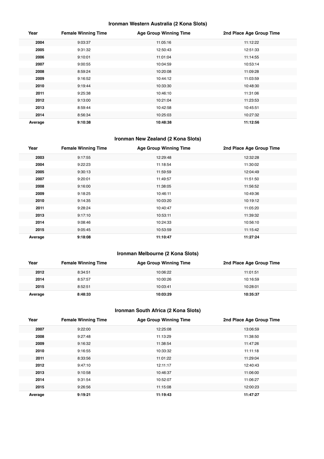## **Ironman Western Australia (2 Kona Slots)**

| Year    | <b>Female Winning Time</b> | <b>Age Group Winning Time</b> | 2nd Place Age Group Time |
|---------|----------------------------|-------------------------------|--------------------------|
| 2004    | 9:03:37                    | 11:05:16                      | 11:12:22                 |
| 2005    | 9:31:32                    | 12:50:43                      | 12:51:33                 |
| 2006    | 9:10:01                    | 11:01:04                      | 11:14:55                 |
| 2007    | 9:00:55                    | 10:04:59                      | 10:53:14                 |
| 2008    | 8:59:24                    | 10:20:08                      | 11:09:28                 |
| 2009    | 9:16:52                    | 10:44:12                      | 11:03:59                 |
| 2010    | 9:19:44                    | 10:33:30                      | 10:48:30                 |
| 2011    | 9:25:38                    | 10:46:10                      | 11:31:06                 |
| 2012    | 9:13:00                    | 10:21:04                      | 11:23:53                 |
| 2013    | 8:59:44                    | 10:42:58                      | 10:45:51                 |
| 2014    | 8:56:34                    | 10:25:03                      | 10:27:32                 |
| Average | 9:10:38                    | 10:48:38                      | 11:12:56                 |

## **Ironman New Zealand (2 Kona Slots)**

| Year    | <b>Female Winning Time</b> | <b>Age Group Winning Time</b> | 2nd Place Age Group Time |
|---------|----------------------------|-------------------------------|--------------------------|
| 2003    | 9:17:55                    | 12:29:48                      | 12:32:28                 |
| 2004    | 9:22:23                    | 11:18:54                      | 11:30:02                 |
| 2005    | 9:30:13                    | 11:59:59                      | 12:04:49                 |
| 2007    | 9:20:01                    | 11:49:57                      | 11:51:50                 |
| 2008    | 9:16:00                    | 11:38:05                      | 11:56:52                 |
| 2009    | 9:18:25                    | 10:46:11                      | 10:49:36                 |
| 2010    | 9:14:35                    | 10:03:20                      | 10:19:12                 |
| 2011    | 9:28:24                    | 10:40:47                      | 11:05:20                 |
| 2013    | 9:17:10                    | 10:53:11                      | 11:39:32                 |
| 2014    | 9:08:46                    | 10:24:33                      | 10:56:10                 |
| 2015    | 9:05:45                    | 10:53:59                      | 11:15:42                 |
| Average | 9:18:08                    | 11:10:47                      | 11:27:24                 |

## **Ironman Melbourne (2 Kona Slots)**

| Year    | <b>Female Winning Time</b> | <b>Age Group Winning Time</b> | 2nd Place Age Group Time |
|---------|----------------------------|-------------------------------|--------------------------|
| 2012    | 8:34:51                    | 10:06:22                      | 11:01:51                 |
| 2014    | 8:57:57                    | 10:00:26                      | 10:16:59                 |
| 2015    | 8:52:51                    | 10:03:41                      | 10:28:01                 |
| Average | 8:48:33                    | 10:03:29                      | 10:35:37                 |

## **Ironman South Africa (2 Kona Slots)**

| Year    | <b>Female Winning Time</b> | <b>Age Group Winning Time</b> | 2nd Place Age Group Time |
|---------|----------------------------|-------------------------------|--------------------------|
| 2007    | 9:22:00                    | 12:25:08                      | 13:06:59                 |
| 2008    | 9:27:48                    | 11:13:29                      | 11:38:50                 |
| 2009    | 9:16:32                    | 11:38:54                      | 11:47:26                 |
| 2010    | 9:16:55                    | 10:33:32                      | 11:11:18                 |
| 2011    | 8:33:56                    | 11:01:22                      | 11:29:04                 |
| 2012    | 9:47:10                    | 12:11:17                      | 12:40:43                 |
| 2013    | 9:10:58                    | 10:46:37                      | 11:06:00                 |
| 2014    | 9:31:54                    | 10:52:07                      | 11:06:27                 |
| 2015    | 9:26:56                    | 11:15:08                      | 12:00:23                 |
| Average | 9:19:21                    | 11:19:43                      | 11:47:27                 |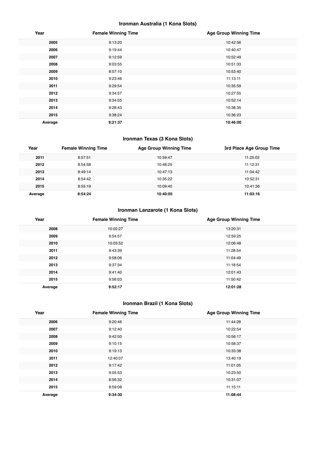## **Ironman Australia (1 Kona Slots)**

| Year    | <b>Female Winning Time</b> | <b>Age Group Winning Time</b> |
|---------|----------------------------|-------------------------------|
| 2005    | 9:13:20                    | 10:42:56                      |
| 2006    | 9:19:44                    | 10:40:47                      |
| 2007    | 9:12:59                    | 10:52:49                      |
| 2008    | 9:03:55                    | 10:51:33                      |
| 2009    | 8:57:10                    | 10:53:40                      |
| 2010    | 9:23:46                    | 11:13:11                      |
| 2011    | 9:29:54                    | 10:35:59                      |
| 2012    | 9:34:57                    | 10:27:55                      |
| 2013    | 9:34:55                    | 10:52:14                      |
| 2014    | 9:28:43                    | 10:38:35                      |
| 2015    | 9:38:24                    | 10:36:23                      |
| Average | 9:21:37                    | 10:46:00                      |

## **Ironman Texas (3 Kona Slots)**

| Year    | <b>Female Winning Time</b> | <b>Age Group Winning Time</b> | 3rd Place Age Group Time |
|---------|----------------------------|-------------------------------|--------------------------|
| 2011    | 8:57:51                    | 10:59:47                      | 11:25:02                 |
| 2012    | 8:54:58                    | 10:48:25                      | 11:12:31                 |
| 2013    | 8:49:14                    | 10:47:13                      | 11:04:42                 |
| 2014    | 8:54:42                    | 10:35:22                      | 10:52:31                 |
| 2015    | 8:55:19                    | 10:09:40                      | 10:41:36                 |
| Average | 8:54:24                    | 10:40:05                      | 11:03:16                 |

## **Ironman Lanzarote (1 Kona Slots)**

| Year    | <b>Female Winning Time</b> | <b>Age Group Winning Time</b> |
|---------|----------------------------|-------------------------------|
| 2008    | 10:02:27                   | 13:20:31                      |
| 2009    | 9:54:57                    | 12:59:25                      |
| 2010    | 10:03:52                   | 12:06:48                      |
| 2011    | 9:43:39                    | 11:28:54                      |
| 2012    | 9:58:06                    | 11:04:49                      |
| 2013    | 9:37:34                    | 11:18:54                      |
| 2014    | 9:41:40                    | 12:01:43                      |
| 2015    | 9:56:03                    | 11:50:42                      |
| Average | 9:52:17                    | 12:01:28                      |

## **Ironman Brazil (1 Kona Slots)**

| Year    | <b>Female Winning Time</b> | <b>Age Group Winning Time</b> |
|---------|----------------------------|-------------------------------|
| 2006    | 9:20:46                    | 11:44:28                      |
| 2007    | 9:12:40                    | 10:22:54                      |
| 2008    | 9:42:50                    | 10:56:17                      |
| 2009    | 9:10:15                    | 10:58:37                      |
| 2010    | 9:19:13                    | 10:33:38                      |
| 2011    | 12:40:07                   | 13:40:19                      |
| 2012    | 9:17:42                    | 11:01:05                      |
| 2013    | 9:05:53                    | 10:23:50                      |
| 2014    | 8:56:32                    | 10:31:07                      |
| 2015    | 8:59:08                    | 11:15:11                      |
| Average | 9:34:30                    | 11:08:44                      |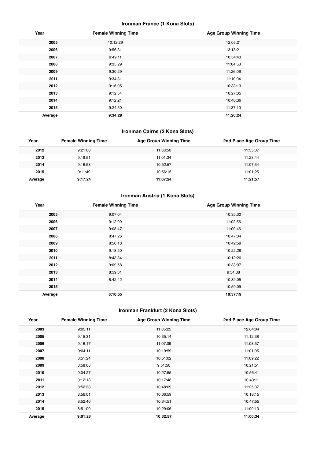## **Ironman France (1 Kona Slots)**

| Year    | <b>Female Winning Time</b> | <b>Age Group Winning Time</b> |
|---------|----------------------------|-------------------------------|
| 2005    | 10:12:29                   | 12:05:21                      |
| 2006    | 9:56:31                    | 13:18:21                      |
| 2007    | 9:49:11                    | 10:54:43                      |
| 2008    | 9:35:29                    | 11:04:53                      |
| 2009    | 9:30:29                    | 11:26:06                      |
| 2011    | 9:34:31                    | 11:10:04                      |
| 2012    | 9:16:05                    | 10:33:13                      |
| 2013    | 9:12:54                    | 10:27:35                      |
| 2014    | 9:12:21                    | 10:46:36                      |
| 2015    | 9:24:50                    | 11:37:10                      |
| Average | 9:34:29                    | 11:20:24                      |

## **Ironman Cairns (2 Kona Slots)**

| Year    | <b>Female Winning Time</b> | <b>Age Group Winning Time</b> | 2nd Place Age Group Time |
|---------|----------------------------|-------------------------------|--------------------------|
| 2012    | 9:21:00                    | 11:38:50                      | 11:55:07                 |
| 2013    | 9:19:51                    | 11:01:34                      | 11:23:44                 |
| 2014    | 9:16:58                    | 10:52:57                      | 11:07:34                 |
| 2015    | 9:11:49                    | 10:56:15                      | 11:01:25                 |
| Average | 9:17:24                    | 11:07:24                      | 11:21:57                 |

## **Ironman Austria (1 Kona Slots)**

| Year    | <b>Female Winning Time</b> | <b>Age Group Winning Time</b> |
|---------|----------------------------|-------------------------------|
| 2005    | 9:07:04                    | 10:35:30                      |
| 2006    | 9:12:09                    | 11:02:56                      |
| 2007    | 9:08:47                    | 11:09:46                      |
| 2008    | 8:47:26                    | 10:47:34                      |
| 2009    | 8:50:13                    | 10:42:58                      |
| 2010    | 9:18:50                    | 10:22:28                      |
| 2011    | 8:43:34                    | 10:12:26                      |
| 2012    | 9:09:58                    | 10:33:07                      |
| 2013    | 8:59:31                    | 9:54:38                       |
| 2014    | 8:42:42                    | 10:39:05                      |
| 2015    |                            | 10:50:09                      |
| Average | 8:10:55                    | 10:37:19                      |

## **Ironman Frankfurt (2 Kona Slots)**

| Year    | <b>Female Winning Time</b> | <b>Age Group Winning Time</b> | 2nd Place Age Group Time |
|---------|----------------------------|-------------------------------|--------------------------|
| 2003    | 9:03:11                    | 11:05:25                      | 12:04:04                 |
| 2005    | 9:15:31                    | 10:35:14                      | 11:12:38                 |
| 2006    | 9:16:17                    | 11:07:09                      | 11:08:57                 |
| 2007    | 9:04:11                    | 10:19:59                      | 11:01:05                 |
| 2008    | 8:51:24                    | 10:51:02                      | 11:09:22                 |
| 2009    | 8:58:08                    | 9:51:50                       | 10:21:51                 |
| 2010    | 9:04:27                    | 10:27:55                      | 10:56:41                 |
| 2011    | 9:12:13                    | 10:17:48                      | 10:40:11                 |
| 2012    | 8:52:33                    | 10:48:09                      | 11:25:37                 |
| 2013    | 8:56:01                    | 10:06:59                      | 10:18:15                 |
| 2014    | 8:52:40                    | 10:34:51                      | 10:47:55                 |
| 2015    | 8:51:00                    | 10:29:06                      | 11:00:13                 |
| Average | 9:01:28                    | 10:32:57                      | 11:00:34                 |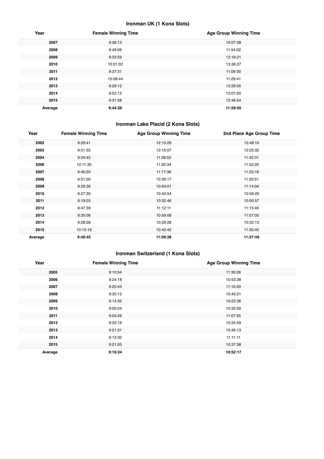## **Ironman UK (1 Kona Slots)**

| Year    | <b>Female Winning Time</b> | <b>Age Group Winning Time</b> |
|---------|----------------------------|-------------------------------|
| 2007    | 9:36:13                    | 10:07:38                      |
| 2008    | 9:49:06                    | 11:54:02                      |
| 2009    | 9:33:59                    | 12:18:21                      |
| 2010    | 10:01:02                   | 13:36:27                      |
| 2011    | 9:37:31                    | 11:09:30                      |
| 2012    | 10:08:44                   | 11:29:41                      |
| 2013    | 9:29:12                    | 12:29:05                      |
| 2014    | 9:52:12                    | 12:07:00                      |
| 2015    | 9:31:58                    | 12:46:54                      |
| Average | 9:44:26                    | 11:59:50                      |

## **Ironman Lake Placid (2 Kona Slots)**

| Year    | <b>Female Winning Time</b> | <b>Age Group Winning Time</b> | 2nd Place Age Group Time |
|---------|----------------------------|-------------------------------|--------------------------|
| 2002    | 9:29:41                    | 12:15:29                      | 12:48:10                 |
| 2003    | 9:51:55                    | 12:15:07                      | 12:25:32                 |
| 2004    | 9:24:42                    | 11:28:52                      | 11:42:31                 |
| 2006    | 10:11:35                   | 11:32:34                      | 11:52:20                 |
| 2007    | 9:40:20                    | 11:17:36                      | 11:23:16                 |
| 2008    | 9:51:00                    | 10:39:17                      | 11:20:51                 |
| 2009    | 9:29:36                    | 10:54:01                      | 11:14:04                 |
| 2010    | 9:27:30                    | 10:43:54                      | 10:58:20                 |
| 2011    | 9:19:03                    | 10:32:46                      | 10:50:57                 |
| 2012    | 9:47:39                    | 11:12:11                      | 11:15:45                 |
| 2013    | 9:35:06                    | 10:59:08                      | 11:07:05                 |
| 2014    | 9:28:28                    | 10:29:28                      | 10:32:13                 |
| 2015    | 10:13:19                   | 10:42:42                      | 11:30:40                 |
| Average | 9:40:45                    | 11:09:28                      | 11:27:49                 |

## **Ironman Switzerland (1 Kona Slots)**

| Year    | <b>Female Winning Time</b> | <b>Age Group Winning Time</b> |
|---------|----------------------------|-------------------------------|
| 2005    | 9:10:54                    | 11:35:26                      |
| 2006    | 9:24:18                    | 10:53:38                      |
| 2007    | 9:20:43                    | 11:10:20                      |
| 2008    | 9:30:12                    | 10:43:21                      |
| 2009    | 9:14:35                    | 10:23:36                      |
| 2010    | 9:00:04                    | 10:32:00                      |
| 2011    | 9:03:26                    | 11:07:55                      |
| 2012    | 9:20:16                    | 10:34:59                      |
| 2013    | 9:21:31                    | 10:45:13                      |
| 2014    | 9:13:30                    | 11:11:11                      |
| 2015    | 9:21:05                    | 10:37:38                      |
| Average | 9:16:24                    | 10:52:17                      |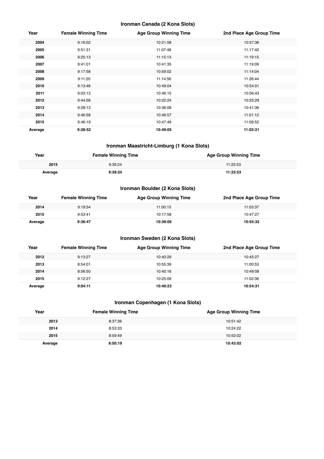#### **Ironman Canada (2 Kona Slots)**

| Year    | <b>Female Winning Time</b> | <b>Age Group Winning Time</b> | 2nd Place Age Group Time |
|---------|----------------------------|-------------------------------|--------------------------|
| 2004    | 9:16:02                    | 10:21:58                      | 10:57:36                 |
| 2005    | 9:51:31                    | 11:07:48                      | 11:17:40                 |
| 2006    | 9:25:13                    | 11:15:13                      | 11:19:15                 |
| 2007    | 9:41:01                    | 10:41:35                      | 11:19:09                 |
| 2008    | 9:17:58                    | 10:59:02                      | 11:14:04                 |
| 2009    | 9:11:20                    | 11:14:56                      | 11:26:44                 |
| 2010    | 9:13:46                    | 10:49:04                      | 10:54:01                 |
| 2011    | 9:03:13                    | 10:46:15                      | 10:56:43                 |
| 2012    | 9:44:58                    | 10:22:24                      | 10:25:29                 |
| 2013    | 9:28:13                    | 10:36:08                      | 10:41:36                 |
| 2014    | 9:46:58                    | 10:46:57                      | 11:01:12                 |
| 2015    | 9:46:19                    | 10:47:49                      | 11:08:52                 |
| Average | 9:28:52                    | 10:49:05                      | 11:03:31                 |

#### **Ironman Maastricht-Limburg (1 Kona Slots)**

| Year    | <b>Female Winning Time</b> | <b>Age Group Winning Time</b> |
|---------|----------------------------|-------------------------------|
| 2015    | 9:39:24                    | 11:23:53                      |
| ⊶verage | 9-39-24                    | 11:23:53                      |

## **Ironman Boulder (2 Kona Slots)**

| Year    | <b>Female Winning Time</b> | <b>Age Group Winning Time</b> | 2nd Place Age Group Time |
|---------|----------------------------|-------------------------------|--------------------------|
| 2014    | 9:19:54                    | 11:00:15                      | 11:03:37                 |
| 2015    | 9:53:41                    | 10:17:58                      | 10:47:27                 |
| Average | 9:36:47                    | 10:39:06                      | 10:55:32                 |

## **Ironman Sweden (2 Kona Slots)**

| Year    | <b>Female Winning Time</b> | <b>Age Group Winning Time</b> | 2nd Place Age Group Time |
|---------|----------------------------|-------------------------------|--------------------------|
| 2012    | 9:13:27                    | 10:40:29                      | 10:45:27                 |
| 2013    | 8:54:01                    | 10:55:39                      | 11:00:53                 |
| 2014    | 8:56:50                    | 10:40:16                      | 10:49:08                 |
| 2015    | 9:12:27                    | 10:25:09                      | 11:02:36                 |
| Average | 9:04:11                    | 10:40:23                      | 10:54:31                 |

## **Ironman Copenhagen (1 Kona Slots)**

| Year    | <b>Female Winning Time</b> | <b>Age Group Winning Time</b> |
|---------|----------------------------|-------------------------------|
| 2013    | 8:37:36                    | 10:51:42                      |
| 2014    | 8:53:33                    | 10:24:22                      |
| 2015    | 8:59:49                    | 10:53:02                      |
| Average | 8:50:19                    | 10:43:02                      |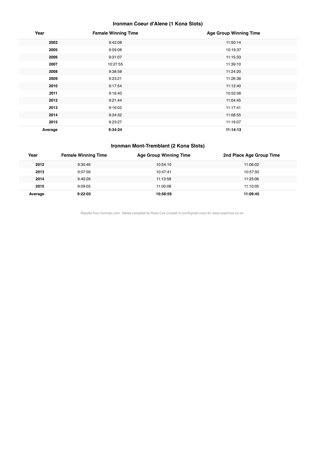## **Ironman Coeur d'Alene (1 Kona Slots)**

| Year    | <b>Female Winning Time</b> | <b>Age Group Winning Time</b> |
|---------|----------------------------|-------------------------------|
| 2003    | 9:42:08                    | 11:50:14                      |
| 2005    | 9:59:08                    | 10:19:37                      |
| 2006    | 9:31:07                    | 11:15:33                      |
| 2007    | 10:27:55                   | 11:39:10                      |
| 2008    | 9:38:58                    | 11:24:20                      |
| 2009    | 9:23:21                    | 11:26:38                      |
| 2010    | 9:17:54                    | 11:12:40                      |
| 2011    | 9:16:40                    | 10:52:06                      |
| 2012    | 9:21:44                    | 11:04:45                      |
| 2013    | 9:16:02                    | 11:17:41                      |
| 2014    | 9:34:32                    | 11:08:55                      |
| 2015    | 9:23:27                    | 11:19:07                      |
| Average | 9:34:24                    | 11:14:13                      |

#### **Ironman Mont-Tremblant (2 Kona Slots)**

| Year    | <b>Female Winning Time</b> | <b>Age Group Winning Time</b> | 2nd Place Age Group Time |
|---------|----------------------------|-------------------------------|--------------------------|
| 2012    | 9:30:46                    | 10:54:10                      | 11:06:02                 |
| 2013    | 9:07:56                    | 10:47:41                      | 10:57:50                 |
| 2014    | 9:40:26                    | 11:13:58                      | 11:25:06                 |
| 2015    | 9:09:05                    | 11:00:08                      | 11:10:05                 |
| Average | 9:22:03                    | 10:58:59                      | 11:09:45                 |

Results from Ironman.com. Tables compiled by Russ Cox (russell.m.cox@gmail.com) for www.coachcox.co.uk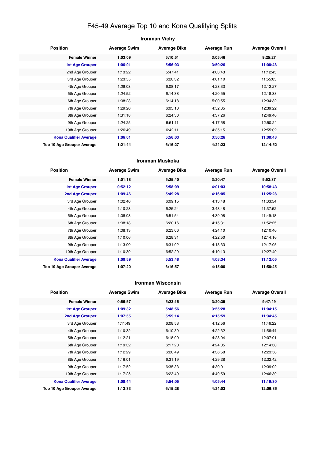## F45-49 Average Top 10 and Kona Qualifying Splits

| <b>Ironman Vichy</b>          |                     |                     |                    |                        |  |
|-------------------------------|---------------------|---------------------|--------------------|------------------------|--|
| <b>Position</b>               | <b>Average Swim</b> | <b>Average Bike</b> | <b>Average Run</b> | <b>Average Overall</b> |  |
| <b>Female Winner</b>          | 1:03:09             | 5:10:51             | 3:05:46            | 9:25:27                |  |
| <b>1st Age Grouper</b>        | 1:06:01             | 5:56:03             | 3:50:26            | 11:00:48               |  |
| 2nd Age Grouper               | 1:13:22             | 5:47:41             | 4:03:43            | 11:12:45               |  |
| 3rd Age Grouper               | 1:23:55             | 6:20:32             | 4:01:10            | 11:55:05               |  |
| 4th Age Grouper               | 1:29:03             | 6:08:17             | 4:23:33            | 12:12:27               |  |
| 5th Age Grouper               | 1:24:52             | 6:14:38             | 4:20:55            | 12:18:38               |  |
| 6th Age Grouper               | 1:08:23             | 6:14:18             | 5:00:55            | 12:34:32               |  |
| 7th Age Grouper               | 1:29:20             | 6:05:10             | 4:52:35            | 12:39:22               |  |
| 8th Age Grouper               | 1:31:18             | 6:24:30             | 4:37:26            | 12:49:46               |  |
| 9th Age Grouper               | 1:24:25             | 6:51:11             | 4:17:58            | 12:50:24               |  |
| 10th Age Grouper              | 1:26:49             | 6:42:11             | 4:35:15            | 12:55:02               |  |
| <b>Kona Qualifier Average</b> | 1:06:01             | 5:56:03             | 3:50:26            | 11:00:48               |  |
| Top 10 Age Grouper Average    | 1:21:44             | 6:16:27             | 4:24:23            | 12:14:52               |  |

#### **Ironman Muskoka**

| <b>Position</b>                   | <b>Average Swim</b> | <b>Average Bike</b> | <b>Average Run</b> | <b>Average Overall</b> |
|-----------------------------------|---------------------|---------------------|--------------------|------------------------|
| <b>Female Winner</b>              | 1:01:18             | 5:25:40             | 3:20:47            | 9:53:37                |
| <b>1st Age Grouper</b>            | 0:52:12             | 5:58:09             | 4:01:03            | 10:58:43               |
| <b>2nd Age Grouper</b>            | 1:09:46             | 5:49:28             | 4:16:05            | 11:25:28               |
| 3rd Age Grouper                   | 1:02:40             | 6:09:15             | 4:13:48            | 11:33:54               |
| 4th Age Grouper                   | 1:10:23             | 6:25:24             | 3:48:48            | 11:37:52               |
| 5th Age Grouper                   | 1:08:03             | 5:51:54             | 4:39:08            | 11:49:18               |
| 6th Age Grouper                   | 1:08:18             | 6:20:16             | 4:15:31            | 11:52:25               |
| 7th Age Grouper                   | 1:08:13             | 6:23:06             | 4:24:10            | 12:10:46               |
| 8th Age Grouper                   | 1:10:06             | 6:28:31             | 4:22:50            | 12:14:16               |
| 9th Age Grouper                   | 1:13:00             | 6:31:02             | 4:18:33            | 12:17:05               |
| 10th Age Grouper                  | 1:10:39             | 6:52:29             | 4:10:13            | 12:27:49               |
| <b>Kona Qualifier Average</b>     | 1:00:59             | 5:53:48             | 4:08:34            | 11:12:05               |
| <b>Top 10 Age Grouper Average</b> | 1:07:20             | 6:16:57             | 4:15:00            | 11:50:45               |

#### **Ironman Wisconsin**

| <b>Position</b>               | <b>Average Swim</b> | <b>Average Bike</b> | <b>Average Run</b> | <b>Average Overall</b> |
|-------------------------------|---------------------|---------------------|--------------------|------------------------|
| <b>Female Winner</b>          | 0:56:57             | 5:23:15             | 3:20:35            | 9:47:49                |
| <b>1st Age Grouper</b>        | 1:09:32             | 5:48:56             | 3:55:28            | 11:04:15               |
| 2nd Age Grouper               | 1:07:55             | 5:59:14             | 4:15:59            | 11:34:45               |
| 3rd Age Grouper               | 1:11:49             | 6:08:58             | 4:12:56            | 11:46:22               |
| 4th Age Grouper               | 1:10:32             | 6:10:39             | 4:22:32            | 11:56:44               |
| 5th Age Grouper               | 1:12:21             | 6:18:00             | 4:23:04            | 12:07:01               |
| 6th Age Grouper               | 1:19:32             | 6:17:20             | 4:24:05            | 12:14:30               |
| 7th Age Grouper               | 1:12:29             | 6:20:49             | 4:36:58            | 12:23:58               |
| 8th Age Grouper               | 1:16:01             | 6:31:19             | 4:29:28            | 12:32:42               |
| 9th Age Grouper               | 1:17:52             | 6:35:33             | 4:30:01            | 12:39:02               |
| 10th Age Grouper              | 1:17:25             | 6:23:49             | 4:49:59            | 12:46:39               |
| <b>Kona Qualifier Average</b> | 1:08:44             | 5:54:05             | 4:05:44            | 11:19:30               |
| Top 10 Age Grouper Average    | 1:13:33             | 6:15:28             | 4:24:03            | 12:06:36               |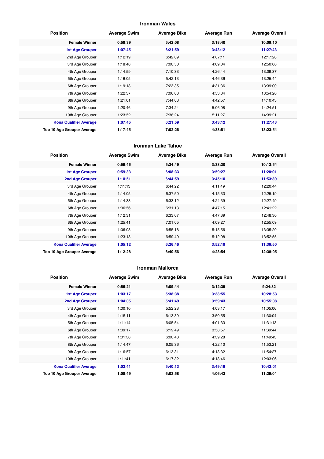#### **Ironman Wales**

| <b>Position</b>               | <b>Average Swim</b> | <b>Average Bike</b> | <b>Average Run</b> | <b>Average Overall</b> |
|-------------------------------|---------------------|---------------------|--------------------|------------------------|
| <b>Female Winner</b>          | 0:58:39             | 5:42:08             | 3:18:40            | 10:09:10               |
| <b>1st Age Grouper</b>        | 1:07:45             | 6:21:59             | 3:43:12            | 11:27:43               |
| 2nd Age Grouper               | 1:12:19             | 6:42:09             | 4:07:11            | 12:17:28               |
| 3rd Age Grouper               | 1:18:48             | 7:00:50             | 4:09:04            | 12:50:06               |
| 4th Age Grouper               | 1:14:59             | 7:10:33             | 4:26:44            | 13:09:37               |
| 5th Age Grouper               | 1:16:05             | 5:42:13             | 4:46:36            | 13:25:44               |
| 6th Age Grouper               | 1:19:18             | 7:23:35             | 4:31:36            | 13:39:00               |
| 7th Age Grouper               | 1:22:37             | 7:06:03             | 4:53:34            | 13:54:26               |
| 8th Age Grouper               | 1:21:01             | 7:44:08             | 4:42:57            | 14:10:43               |
| 9th Age Grouper               | 1:20:46             | 7:34:24             | 5:06:08            | 14:24:51               |
| 10th Age Grouper              | 1:23:52             | 7:38:24             | 5:11:27            | 14:39:21               |
| <b>Kona Qualifier Average</b> | 1:07:45             | 6:21:59             | 3:43:12            | 11:27:43               |
| Top 10 Age Grouper Average    | 1:17:45             | 7:02:26             | 4:33:51            | 13:23:54               |

#### **Ironman Lake Tahoe**

| <b>Position</b>               | <b>Average Swim</b> | <b>Average Bike</b> | <b>Average Run</b> | <b>Average Overall</b> |
|-------------------------------|---------------------|---------------------|--------------------|------------------------|
| <b>Female Winner</b>          | 0:59:46             | 5:34:49             | 3:33:30            | 10:13:54               |
| <b>1st Age Grouper</b>        | 0:59:33             | 6:08:33             | 3:59:27            | 11:20:01               |
| 2nd Age Grouper               | 1:10:51             | 6:44:59             | 3:45:10            | 11:53:39               |
| 3rd Age Grouper               | 1:11:13             | 6:44:22             | 4:11:49            | 12:20:44               |
| 4th Age Grouper               | 1:14:05             | 6:37:50             | 4:15:33            | 12:25:19               |
| 5th Age Grouper               | 1:14:33             | 6:33:12             | 4:24:39            | 12:27:49               |
| 6th Age Grouper               | 1:06:56             | 6:31:13             | 4:47:15            | 12:41:22               |
| 7th Age Grouper               | 1:12:31             | 6:33:07             | 4:47:39            | 12:48:30               |
| 8th Age Grouper               | 1:25:41             | 7:01:05             | 4:09:27            | 12:55:09               |
| 9th Age Grouper               | 1:06:03             | 6:55:18             | 5:15:56            | 13:35:20               |
| 10th Age Grouper              | 1:23:13             | 6:59:40             | 5:12:08            | 13:52:55               |
| <b>Kona Qualifier Average</b> | 1:05:12             | 6:26:46             | 3:52:19            | 11:36:50               |
| Top 10 Age Grouper Average    | 1:12:28             | 6:40:56             | 4:28:54            | 12:38:05               |

#### **Ironman Mallorca**

| <b>Position</b>               | <b>Average Swim</b> | <b>Average Bike</b> | <b>Average Run</b> | <b>Average Overall</b> |
|-------------------------------|---------------------|---------------------|--------------------|------------------------|
| <b>Female Winner</b>          | 0:56:21             | 5:09:44             | 3:12:35            | 9:24:32                |
| <b>1st Age Grouper</b>        | 1:03:17             | 5:38:38             | 3:38:55            | 10:28:53               |
| 2nd Age Grouper               | 1:04:05             | 5:41:49             | 3:59:43            | 10:55:08               |
| 3rd Age Grouper               | 1:00:10             | 5:52:28             | 4:03:17            | 11:05:06               |
| 4th Age Grouper               | 1:15:11             | 6:13:39             | 3:50:55            | 11:30:04               |
| 5th Age Grouper               | 1:11:14             | 6:05:54             | 4:01:33            | 11:31:13               |
| 6th Age Grouper               | 1:09:17             | 6:19:49             | 3:58:57            | 11:39:44               |
| 7th Age Grouper               | 1:01:38             | 6:00:48             | 4:39:28            | 11:49:43               |
| 8th Age Grouper               | 1:14:47             | 6:05:36             | 4:22:10            | 11:53:21               |
| 9th Age Grouper               | 1:16:57             | 6:13:31             | 4:13:32            | 11:54:27               |
| 10th Age Grouper              | 1:11:41             | 6:17:32             | 4:18:46            | 12:03:06               |
| <b>Kona Qualifier Average</b> | 1:03:41             | 5:40:13             | 3:49:19            | 10:42:01               |
| Top 10 Age Grouper Average    | 1:08:49             | 6:02:58             | 4:06:43            | 11:29:04               |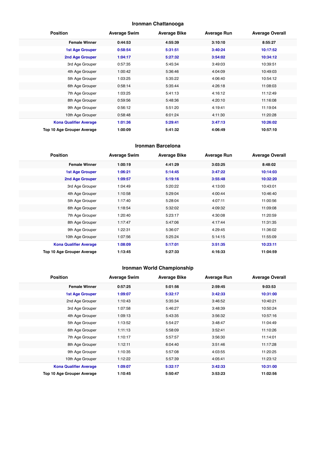## **Ironman Chattanooga**

| <b>Position</b>               | <b>Average Swim</b> | <b>Average Bike</b> | <b>Average Run</b> | <b>Average Overall</b> |
|-------------------------------|---------------------|---------------------|--------------------|------------------------|
| <b>Female Winner</b>          | 0:44:53             | 4:55:39             | 3:10:10            | 8:55:27                |
| <b>1st Age Grouper</b>        | 0:58:54             | 5:31:51             | 3:40:24            | 10:17:52               |
| 2nd Age Grouper               | 1:04:17             | 5:27:32             | 3:54:02            | 10:34:12               |
| 3rd Age Grouper               | 0:57:35             | 5:45:34             | 3:49:03            | 10:39:51               |
| 4th Age Grouper               | 1:00:42             | 5:36:46             | 4:04:09            | 10:49:03               |
| 5th Age Grouper               | 1:03:25             | 5:35:22             | 4:06:40            | 10:54:12               |
| 6th Age Grouper               | 0:58:14             | 5:35:44             | 4:26:18            | 11:08:03               |
| 7th Age Grouper               | 1:03:25             | 5:41:13             | 4:16:12            | 11:12:49               |
| 8th Age Grouper               | 0:59:56             | 5:48:36             | 4:20:10            | 11:16:08               |
| 9th Age Grouper               | 0:56:12             | 5:51:20             | 4:19:41            | 11:19:04               |
| 10th Age Grouper              | 0:58:48             | 6:01:24             | 4:11:30            | 11:20:28               |
| <b>Kona Qualifier Average</b> | 1:01:36             | 5:29:41             | 3:47:13            | 10:26:02               |
| Top 10 Age Grouper Average    | 1:00:09             | 5:41:32             | 4:06:49            | 10:57:10               |

#### **Ironman Barcelona**

| <b>Position</b>               | <b>Average Swim</b> | <b>Average Bike</b> | <b>Average Run</b> | <b>Average Overall</b> |
|-------------------------------|---------------------|---------------------|--------------------|------------------------|
| <b>Female Winner</b>          | 1:00:19             | 4:41:29             | 3:03:25            | 8:48:02                |
| <b>1st Age Grouper</b>        | 1:06:21             | 5:14:45             | 3:47:22            | 10:14:03               |
| 2nd Age Grouper               | 1:09:57             | 5:19:16             | 3:55:48            | 10:32:20               |
| 3rd Age Grouper               | 1:04:49             | 5:20:22             | 4:13:00            | 10:43:01               |
| 4th Age Grouper               | 1:10:58             | 5:29:04             | 4:00:44            | 10:46:40               |
| 5th Age Grouper               | 1:17:40             | 5:28:04             | 4:07:11            | 11:00:56               |
| 6th Age Grouper               | 1:18:54             | 5:32:02             | 4:09:32            | 11:09:08               |
| 7th Age Grouper               | 1:20:40             | 5:23:17             | 4:30:08            | 11:20:59               |
| 8th Age Grouper               | 1:17:47             | 5:47:06             | 4:17:44            | 11:31:35               |
| 9th Age Grouper               | 1:22:31             | 5:36:07             | 4:29:45            | 11:36:02               |
| 10th Age Grouper              | 1:07:56             | 5:25:24             | 5:14:15            | 11:55:09               |
| <b>Kona Qualifier Average</b> | 1:08:09             | 5:17:01             | 3:51:35            | 10:23:11               |
| Top 10 Age Grouper Average    | 1:13:45             | 5:27:33             | 4:16:33            | 11:04:59               |

## **Ironman World Championship**

| <b>Position</b>               | <b>Average Swim</b> | <b>Average Bike</b> | <b>Average Run</b> | <b>Average Overall</b> |
|-------------------------------|---------------------|---------------------|--------------------|------------------------|
| <b>Female Winner</b>          | 0:57:25             | 5:01:56             | 2:59:45            | 9:03:53                |
| <b>1st Age Grouper</b>        | 1:09:07             | 5:32:17             | 3:42:33            | 10:31:00               |
| 2nd Age Grouper               | 1:10:43             | 5:35:34             | 3:46:52            | 10:40:21               |
| 3rd Age Grouper               | 1:07:58             | 5:46:27             | 3:48:39            | 10:50:24               |
| 4th Age Grouper               | 1:09:13             | 5:43:35             | 3:56:32            | 10:57:16               |
| 5th Age Grouper               | 1:13:52             | 5:54:27             | 3:48:47            | 11:04:49               |
| 6th Age Grouper               | 1:11:13             | 5:58:09             | 3:52:41            | 11:10:26               |
| 7th Age Grouper               | 1:10:17             | 5:57:57             | 3:56:30            | 11:14:01               |
| 8th Age Grouper               | 1:12:11             | 6:04:40             | 3:51:46            | 11:17:28               |
| 9th Age Grouper               | 1:10:35             | 5:57:08             | 4:03:55            | 11:20:25               |
| 10th Age Grouper              | 1:12:22             | 5:57:39             | 4:05:41            | 11:23:12               |
| <b>Kona Qualifier Average</b> | 1:09:07             | 5:32:17             | 3:42:33            | 10:31:00               |
| Top 10 Age Grouper Average    | 1:10:45             | 5:50:47             | 3:53:23            | 11:02:56               |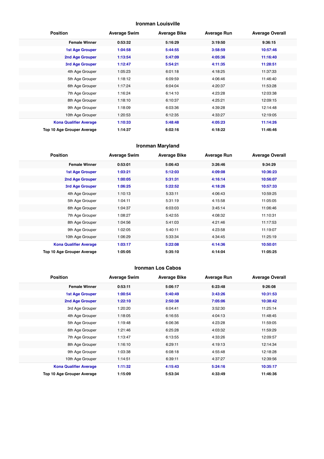#### **Ironman Louisville**

| <b>Position</b>               | <b>Average Swim</b> | <b>Average Bike</b> | <b>Average Run</b> | <b>Average Overall</b> |
|-------------------------------|---------------------|---------------------|--------------------|------------------------|
| <b>Female Winner</b>          | 0:53:32             | 5:16:29             | 3:19:50            | 9:36:15                |
| <b>1st Age Grouper</b>        | 1:04:58             | 5:44:55             | 3:58:59            | 10:57:46               |
| 2nd Age Grouper               | 1:13:54             | 5:47:09             | 4:05:36            | 11:16:40               |
| 3rd Age Grouper               | 1:12:47             | 5:54:21             | 4:11:35            | 11:28:51               |
| 4th Age Grouper               | 1:05:23             | 6:01:18             | 4:18:25            | 11:37:33               |
| 5th Age Grouper               | 1:18:12             | 6:09:59             | 4:06:46            | 11:46:40               |
| 6th Age Grouper               | 1:17:24             | 6:04:04             | 4:20:37            | 11:53:28               |
| 7th Age Grouper               | 1:16:24             | 6:14:10             | 4:23:28            | 12:03:38               |
| 8th Age Grouper               | 1:18:10             | 6:10:37             | 4:25:21            | 12:09:15               |
| 9th Age Grouper               | 1:18:09             | 6:03:36             | 4:39:28            | 12:14:48               |
| 10th Age Grouper              | 1:20:53             | 6:12:35             | 4:33:27            | 12:19:05               |
| <b>Kona Qualifier Average</b> | 1:10:33             | 5:48:48             | 4:05:23            | 11:14:26               |
| Top 10 Age Grouper Average    | 1:14:37             | 6:02:16             | 4:18:22            | 11:46:46               |

#### **Ironman Maryland**

| <b>Position</b>               | <b>Average Swim</b> | <b>Average Bike</b> | <b>Average Run</b> | <b>Average Overall</b> |
|-------------------------------|---------------------|---------------------|--------------------|------------------------|
| <b>Female Winner</b>          | 0:53:01             | 5:06:43             | 3:26:46            | 9:34:29                |
| <b>1st Age Grouper</b>        | 1:03:21             | 5:12:03             | 4:09:08            | 10:36:23               |
| 2nd Age Grouper               | 1:00:05             | 5:31:31             | 4:16:14            | 10:56:07               |
| <b>3rd Age Grouper</b>        | 1:06:25             | 5:22:52             | 4:18:26            | 10:57:33               |
| 4th Age Grouper               | 1:10:13             | 5:33:11             | 4:06:43            | 10:59:25               |
| 5th Age Grouper               | 1:04:11             | 5:31:19             | 4:15:58            | 11:05:05               |
| 6th Age Grouper               | 1:04:37             | 6:03:03             | 3:45:14            | 11:06:46               |
| 7th Age Grouper               | 1:08:27             | 5:42:55             | 4:08:32            | 11:10:31               |
| 8th Age Grouper               | 1:04:56             | 5:41:03             | 4:21:46            | 11:17:53               |
| 9th Age Grouper               | 1:02:05             | 5:40:11             | 4:23:58            | 11:19:07               |
| 10th Age Grouper              | 1:06:29             | 5:33:34             | 4:34:45            | 11:25:19               |
| <b>Kona Qualifier Average</b> | 1:03:17             | 5:22:08             | 4:14:36            | 10:50:01               |
| Top 10 Age Grouper Average    | 1:05:05             | 5:35:10             | 4:14:04            | 11:05:25               |

#### **Ironman Los Cabos**

| <b>Position</b>                   | <b>Average Swim</b> | <b>Average Bike</b> | <b>Average Run</b> | <b>Average Overall</b> |
|-----------------------------------|---------------------|---------------------|--------------------|------------------------|
| <b>Female Winner</b>              | 0:53:11             | 5:06:17             | 6:23:48            | 9:26:08                |
| <b>1st Age Grouper</b>            | 1:00:54             | 5:40:49             | 3:43:26            | 10:31:53               |
| <b>2nd Age Grouper</b>            | 1:22:10             | 2:50:38             | 7:05:06            | 10:38:42               |
| 3rd Age Grouper                   | 1:20:20             | 6:04:41             | 3:52:30            | 11:25:14               |
| 4th Age Grouper                   | 1:18:05             | 6:16:55             | 4:04:13            | 11:48:45               |
| 5th Age Grouper                   | 1:19:48             | 6:06:36             | 4:23:28            | 11:59:05               |
| 6th Age Grouper                   | 1:21:46             | 6:25:28             | 4:03:32            | 11:59:29               |
| 7th Age Grouper                   | 1:13:47             | 6:13:55             | 4:33:26            | 12:09:57               |
| 8th Age Grouper                   | 1:16:10             | 6:29:11             | 4:19:13            | 12:14:34               |
| 9th Age Grouper                   | 1:03:38             | 6:08:18             | 4:55:48            | 12:18:28               |
| 10th Age Grouper                  | 1:14:51             | 6:39:11             | 4:37:27            | 12:39:56               |
| <b>Kona Qualifier Average</b>     | 1:11:32             | 4:15:43             | 5:24:16            | 10:35:17               |
| <b>Top 10 Age Grouper Average</b> | 1:15:09             | 5:53:34             | 4:33:49            | 11:46:36               |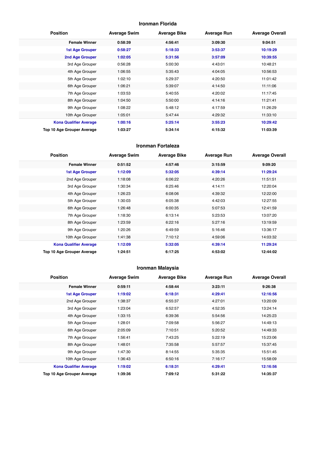#### **Ironman Florida**

| <b>Position</b>               | <b>Average Swim</b> | <b>Average Bike</b> | <b>Average Run</b> | <b>Average Overall</b> |
|-------------------------------|---------------------|---------------------|--------------------|------------------------|
| <b>Female Winner</b>          | 0:58:39             | 4:56:41             | 3:09:30            | 9:04:51                |
| <b>1st Age Grouper</b>        | 0:58:27             | 5:18:33             | 3:53:37            | 10:19:29               |
| 2nd Age Grouper               | 1:02:05             | 5:31:56             | 3:57:09            | 10:39:55               |
| 3rd Age Grouper               | 0:56:28             | 5:00:30             | 4:43:01            | 10:48:21               |
| 4th Age Grouper               | 1:06:55             | 5:35:43             | 4:04:05            | 10:56:53               |
| 5th Age Grouper               | 1:02:10             | 5:29:37             | 4:20:50            | 11:01:42               |
| 6th Age Grouper               | 1:06:21             | 5:39:07             | 4:14:50            | 11:11:06               |
| 7th Age Grouper               | 1:03:53             | 5:40:55             | 4:20:02            | 11:17:45               |
| 8th Age Grouper               | 1:04:50             | 5:50:00             | 4:14:16            | 11:21:41               |
| 9th Age Grouper               | 1:08:22             | 5:48:12             | 4:17:59            | 11:26:29               |
| 10th Age Grouper              | 1:05:01             | 5:47:44             | 4:29:32            | 11:33:10               |
| <b>Kona Qualifier Average</b> | 1:00:16             | 5:25:14             | 3:55:23            | 10:29:42               |
| Top 10 Age Grouper Average    | 1:03:27             | 5:34:14             | 4:15:32            | 11:03:39               |

#### **Ironman Fortaleza**

| <b>Position</b>               | <b>Average Swim</b> | <b>Average Bike</b> | <b>Average Run</b> | <b>Average Overall</b> |
|-------------------------------|---------------------|---------------------|--------------------|------------------------|
| <b>Female Winner</b>          | 0:51:52             | 4:57:46             | 3:15:59            | 9:09:20                |
| <b>1st Age Grouper</b>        | 1:12:09             | 5:32:05             | 4:39:14            | 11:29:24               |
| 2nd Age Grouper               | 1:18:08             | 6:06:22             | 4:20:26            | 11:51:51               |
| 3rd Age Grouper               | 1:30:34             | 6:25:46             | 4:14:11            | 12:20:04               |
| 4th Age Grouper               | 1:26:23             | 6:08:06             | 4:39:32            | 12:22:00               |
| 5th Age Grouper               | 1:30:03             | 6:05:38             | 4:42:03            | 12:27:55               |
| 6th Age Grouper               | 1:26:48             | 6:00:35             | 5:07:53            | 12:41:59               |
| 7th Age Grouper               | 1:18:30             | 6:13:14             | 5:23:53            | 13:07:20               |
| 8th Age Grouper               | 1:23:59             | 6:22:16             | 5:27:16            | 13:19:59               |
| 9th Age Grouper               | 1:20:26             | 6:49:59             | 5:16:46            | 13:36:17               |
| 10th Age Grouper              | 1:41:38             | 7:10:12             | 4:59:06            | 14:03:32               |
| <b>Kona Qualifier Average</b> | 1:12:09             | 5:32:05             | 4:39:14            | 11:29:24               |
| Top 10 Age Grouper Average    | 1:24:51             | 6:17:25             | 4:53:02            | 12:44:02               |

## **Ironman Malaysia**

| <b>Position</b>               | <b>Average Swim</b> | <b>Average Bike</b> | <b>Average Run</b> | <b>Average Overall</b> |
|-------------------------------|---------------------|---------------------|--------------------|------------------------|
| <b>Female Winner</b>          | 0:59:11             | 4:58:44             | 3:23:11            | 9:26:38                |
| <b>1st Age Grouper</b>        | 1:19:02             | 6:18:31             | 4:29:41            | 12:16:56               |
| 2nd Age Grouper               | 1:38:37             | 6:55:37             | 4:27:01            | 13:20:09               |
| 3rd Age Grouper               | 1:23:04             | 6:52:57             | 4:52:35            | 13:24:14               |
| 4th Age Grouper               | 1:33:15             | 6:39:36             | 5:54:56            | 14:25:23               |
| 5th Age Grouper               | 1:28:01             | 7:09:58             | 5:56:27            | 14:49:13               |
| 6th Age Grouper               | 2:05:09             | 7:10:51             | 5:20:52            | 14:49:33               |
| 7th Age Grouper               | 1:56:41             | 7:43:25             | 5:22:19            | 15:23:06               |
| 8th Age Grouper               | 1:48:01             | 7:35:58             | 5:57:57            | 15:37:45               |
| 9th Age Grouper               | 1:47:30             | 8:14:55             | 5:35:35            | 15:51:45               |
| 10th Age Grouper              | 1:36:43             | 6:50:16             | 7:16:17            | 15:58:09               |
| <b>Kona Qualifier Average</b> | 1:19:02             | 6:18:31             | 4:29:41            | 12:16:56               |
| Top 10 Age Grouper Average    | 1:39:36             | 7:09:12             | 5:31:22            | 14:35:37               |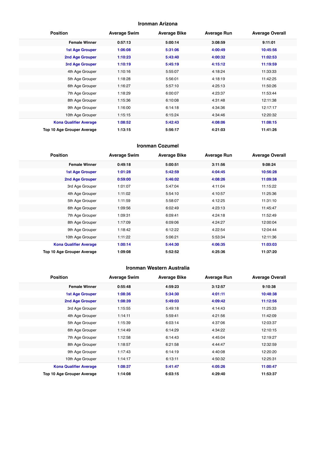#### **Ironman Arizona**

| <b>Position</b>               | <b>Average Swim</b> | <b>Average Bike</b> | <b>Average Run</b> | <b>Average Overall</b> |
|-------------------------------|---------------------|---------------------|--------------------|------------------------|
| <b>Female Winner</b>          | 0:57:13             | 5:00:14             | 3:08:59            | 9:11:01                |
| <b>1st Age Grouper</b>        | 1:06:08             | 5:31:06             | 4:00:49            | 10:45:56               |
| 2nd Age Grouper               | 1:10:23             | 5:43:40             | 4:00:32            | 11:02:53               |
| 3rd Age Grouper               | 1:10:19             | 5:45:19             | 4:15:12            | 11:19:59               |
| 4th Age Grouper               | 1:10:16             | 5:55:07             | 4:18:24            | 11:33:33               |
| 5th Age Grouper               | 1:18:28             | 5:56:01             | 4:18:19            | 11:42:25               |
| 6th Age Grouper               | 1:16:27             | 5:57:10             | 4:25:13            | 11:50:26               |
| 7th Age Grouper               | 1:18:29             | 6:00:07             | 4:23:37            | 11:53:44               |
| 8th Age Grouper               | 1:15:36             | 6:10:08             | 4:31:48            | 12:11:38               |
| 9th Age Grouper               | 1:16:00             | 6:14:18             | 4:34:36            | 12:17:17               |
| 10th Age Grouper              | 1:15:15             | 6:15:24             | 4:34:46            | 12:20:32               |
| <b>Kona Qualifier Average</b> | 1:08:52             | 5:42:43             | 4:08:06            | 11:08:15               |
| Top 10 Age Grouper Average    | 1:13:15             | 5:56:17             | 4:21:03            | 11:41:26               |

#### **Ironman Cozumel**

| <b>Position</b>               | <b>Average Swim</b> | <b>Average Bike</b> | <b>Average Run</b> | <b>Average Overall</b> |
|-------------------------------|---------------------|---------------------|--------------------|------------------------|
| <b>Female Winner</b>          | 0:49:18             | 5:00:51             | 3:11:56            | 9:08:24                |
| <b>1st Age Grouper</b>        | 1:01:28             | 5:42:59             | 4:04:45            | 10:56:28               |
| 2nd Age Grouper               | 0:59:00             | 5:46:02             | 4:08:26            | 11:09:38               |
| 3rd Age Grouper               | 1:01:07             | 5:47:04             | 4:11:04            | 11:15:22               |
| 4th Age Grouper               | 1:11:02             | 5:54:10             | 4:10:57            | 11:25:36               |
| 5th Age Grouper               | 1:11:59             | 5:58:07             | 4:12:25            | 11:31:10               |
| 6th Age Grouper               | 1:09:56             | 6:02:49             | 4:23:13            | 11:45:47               |
| 7th Age Grouper               | 1:09:31             | 6:09:41             | 4:24:18            | 11:52:49               |
| 8th Age Grouper               | 1:17:09             | 6:09:06             | 4:24:27            | 12:00:04               |
| 9th Age Grouper               | 1:18:42             | 6:12:22             | 4:22:54            | 12:04:44               |
| 10th Age Grouper              | 1:11:22             | 5:06:21             | 5:53:34            | 12:11:36               |
| <b>Kona Qualifier Average</b> | 1:00:14             | 5:44:30             | 4:06:35            | 11:03:03               |
| Top 10 Age Grouper Average    | 1:09:08             | 5:52:52             | 4:25:36            | 11:37:20               |

#### **Ironman Western Australia**

| <b>Position</b>               | <b>Average Swim</b> | <b>Average Bike</b> | <b>Average Run</b> | <b>Average Overall</b> |
|-------------------------------|---------------------|---------------------|--------------------|------------------------|
| <b>Female Winner</b>          | 0:55:48             | 4:59:23             | 3:12:57            | 9:10:38                |
| <b>1st Age Grouper</b>        | 1:08:36             | 5:34:30             | 4:01:11            | 10:48:38               |
| <b>2nd Age Grouper</b>        | 1:08:39             | 5:49:03             | 4:09:42            | 11:12:56               |
| 3rd Age Grouper               | 1:15:55             | 5:49:18             | 4:14:43            | 11:25:33               |
| 4th Age Grouper               | 1:14:11             | 5:59:41             | 4:21:56            | 11:42:09               |
| 5th Age Grouper               | 1:15:39             | 6:03:14             | 4:37:06            | 12:03:37               |
| 6th Age Grouper               | 1:14:49             | 6:14:29             | 4:34:22            | 12:10:15               |
| 7th Age Grouper               | 1:12:58             | 6:14:43             | 4:45:04            | 12:19:27               |
| 8th Age Grouper               | 1:18:57             | 6:21:58             | 4:44:47            | 12:32:59               |
| 9th Age Grouper               | 1:17:43             | 6:14:19             | 4:40:08            | 12:20:20               |
| 10th Age Grouper              | 1:14:17             | 6:13:11             | 4:50:32            | 12:25:31               |
| <b>Kona Qualifier Average</b> | 1:08:37             | 5:41:47             | 4:05:26            | 11:00:47               |
| Top 10 Age Grouper Average    | 1:14:08             | 6:03:15             | 4:29:40            | 11:53:37               |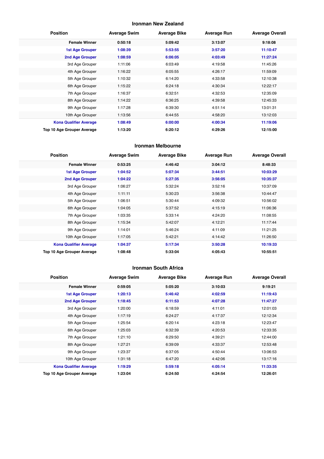#### **Ironman New Zealand**

| <b>Position</b>               | <b>Average Swim</b> | <b>Average Bike</b> | <b>Average Run</b> | <b>Average Overall</b> |
|-------------------------------|---------------------|---------------------|--------------------|------------------------|
| <b>Female Winner</b>          | 0:50:18             | 5:09:42             | 3:13:07            | 9:18:08                |
| <b>1st Age Grouper</b>        | 1:08:39             | 5:53:55             | 3:57:20            | 11:10:47               |
| 2nd Age Grouper               | 1:08:59             | 6:06:05             | 4:03:49            | 11:27:24               |
| 3rd Age Grouper               | 1:11:06             | 6:03:49             | 4:19:58            | 11:45:26               |
| 4th Age Grouper               | 1:16:22             | 6:05:55             | 4:26:17            | 11:59:09               |
| 5th Age Grouper               | 1:10:32             | 6:14:20             | 4:33:58            | 12:10:38               |
| 6th Age Grouper               | 1:15:22             | 6:24:18             | 4:30:34            | 12:22:17               |
| 7th Age Grouper               | 1:16:37             | 6:32:51             | 4:32:53            | 12:35:09               |
| 8th Age Grouper               | 1:14:22             | 6:36:25             | 4:39:58            | 12:45:33               |
| 9th Age Grouper               | 1:17:28             | 6:39:30             | 4:51:14            | 13:01:31               |
| 10th Age Grouper              | 1:13:56             | 6:44:55             | 4:58:20            | 13:12:03               |
| <b>Kona Qualifier Average</b> | 1:08:49             | 6:00:00             | 4:00:34            | 11:19:06               |
| Top 10 Age Grouper Average    | 1:13:20             | 6:20:12             | 4:29:26            | 12:15:00               |

#### **Ironman Melbourne**

| <b>Position</b>               | <b>Average Swim</b> | <b>Average Bike</b> | <b>Average Run</b> | <b>Average Overall</b> |
|-------------------------------|---------------------|---------------------|--------------------|------------------------|
| <b>Female Winner</b>          | 0:53:25             | 4:46:42             | 3:04:12            | 8:48:33                |
| <b>1st Age Grouper</b>        | 1:04:52             | 5:07:34             | 3:44:51            | 10:03:29               |
| 2nd Age Grouper               | 1:04:22             | 5:27:35             | 3:56:05            | 10:35:37               |
| 3rd Age Grouper               | 1:06:27             | 5:32:24             | 3:52:16            | 10:37:09               |
| 4th Age Grouper               | 1:11:11             | 5:30:23             | 3:56:38            | 10:44:47               |
| 5th Age Grouper               | 1:06:51             | 5:30:44             | 4:09:32            | 10:56:02               |
| 6th Age Grouper               | 1:04:05             | 5:37:52             | 4:15:19            | 11:06:36               |
| 7th Age Grouper               | 1:03:35             | 5:33:14             | 4:24:20            | 11:08:55               |
| 8th Age Grouper               | 1:15:34             | 5:42:07             | 4:12:21            | 11:17:44               |
| 9th Age Grouper               | 1:14:01             | 5:46:24             | 4:11:09            | 11:21:25               |
| 10th Age Grouper              | 1:17:05             | 5:42:21             | 4:14:42            | 11:26:50               |
| <b>Kona Qualifier Average</b> | 1:04:37             | 5:17:34             | 3:50:28            | 10:19:33               |
| Top 10 Age Grouper Average    | 1:08:48             | 5:33:04             | 4:05:43            | 10:55:51               |

#### **Ironman South Africa**

| <b>Position</b>               | <b>Average Swim</b> | <b>Average Bike</b> | <b>Average Run</b> | <b>Average Overall</b> |
|-------------------------------|---------------------|---------------------|--------------------|------------------------|
| <b>Female Winner</b>          | 0:59:05             | 5:05:20             | 3:10:03            | 9:19:21                |
| <b>1st Age Grouper</b>        | 1:20:13             | 5:46:42             | 4:02:59            | 11:19:43               |
| <b>2nd Age Grouper</b>        | 1:18:45             | 6:11:53             | 4:07:28            | 11:47:27               |
| 3rd Age Grouper               | 1:20:00             | 6:18:59             | 4:11:01            | 12:01:03               |
| 4th Age Grouper               | 1:17:19             | 6:24:27             | 4:17:37            | 12:12:34               |
| 5th Age Grouper               | 1:25:54             | 6:20:14             | 4:23:18            | 12:23:47               |
| 6th Age Grouper               | 1:25:03             | 6:32:39             | 4:20:53            | 12:33:35               |
| 7th Age Grouper               | 1:21:10             | 6:29:50             | 4:39:21            | 12:44:00               |
| 8th Age Grouper               | 1:27:21             | 6:39:09             | 4:33:37            | 12:53:48               |
| 9th Age Grouper               | 1:23:37             | 6:37:05             | 4:50:44            | 13:06:53               |
| 10th Age Grouper              | 1:31:18             | 6:47:20             | 4:42:06            | 13:17:16               |
| <b>Kona Qualifier Average</b> | 1:19:29             | 5:59:18             | 4:05:14            | 11:33:35               |
| Top 10 Age Grouper Average    | 1:23:04             | 6:24:50             | 4:24:54            | 12:26:01               |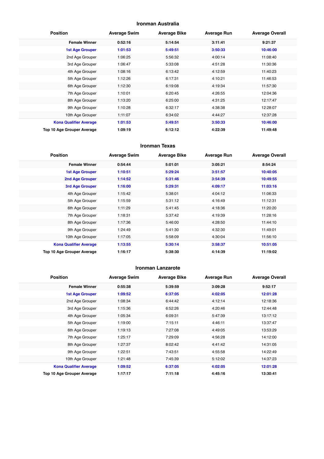#### **Ironman Australia**

| <b>Position</b>               | <b>Average Swim</b> | <b>Average Bike</b> | <b>Average Run</b> | <b>Average Overall</b> |
|-------------------------------|---------------------|---------------------|--------------------|------------------------|
| <b>Female Winner</b>          | 0:52:16             | 5:14:54             | 3:11:41            | 9:21:37                |
| <b>1st Age Grouper</b>        | 1:01:53             | 5:49:51             | 3:50:33            | 10:46:00               |
| 2nd Age Grouper               | 1:06:25             | 5:56:32             | 4:00:14            | 11:08:40               |
| 3rd Age Grouper               | 1:06:47             | 5:33:08             | 4:51:28            | 11:30:36               |
| 4th Age Grouper               | 1:08:16             | 6:13:42             | 4:12:59            | 11:40:23               |
| 5th Age Grouper               | 1:12:26             | 6:17:31             | 4:10:21            | 11:46:53               |
| 6th Age Grouper               | 1:12:30             | 6:19:08             | 4:19:34            | 11:57:30               |
| 7th Age Grouper               | 1:10:01             | 6:20:45             | 4:26:55            | 12:04:36               |
| 8th Age Grouper               | 1:13:20             | 6:25:00             | 4:31:25            | 12:17:47               |
| 9th Age Grouper               | 1:10:28             | 6:32:17             | 4:38:38            | 12:28:07               |
| 10th Age Grouper              | 1:11:07             | 6:34:02             | 4:44:27            | 12:37:28               |
| <b>Kona Qualifier Average</b> | 1:01:53             | 5:49:51             | 3:50:33            | 10:46:00               |
| Top 10 Age Grouper Average    | 1:09:19             | 6:12:12             | 4:22:39            | 11:49:48               |

#### **Ironman Texas**

| <b>Position</b>               | <b>Average Swim</b> | <b>Average Bike</b> | <b>Average Run</b> | <b>Average Overall</b> |
|-------------------------------|---------------------|---------------------|--------------------|------------------------|
| <b>Female Winner</b>          | 0:54:44             | 5:01:01             | 3:05:21            | 8:54:24                |
| <b>1st Age Grouper</b>        | 1:10:51             | 5:29:24             | 3:51:57            | 10:40:05               |
| 2nd Age Grouper               | 1:14:52             | 5:31:46             | 3:54:39            | 10:49:55               |
| 3rd Age Grouper               | 1:16:00             | 5:29:31             | 4:09:17            | 11:03:16               |
| 4th Age Grouper               | 1:15:42             | 5:38:01             | 4:04:12            | 11:06:33               |
| 5th Age Grouper               | 1:15:59             | 5:31:12             | 4:16:49            | 11:12:31               |
| 6th Age Grouper               | 1:11:29             | 5:41:45             | 4:18:36            | 11:20:20               |
| 7th Age Grouper               | 1:18:31             | 5:37:42             | 4:19:39            | 11:28:16               |
| 8th Age Grouper               | 1:17:36             | 5:46:00             | 4:28:50            | 11:44:10               |
| 9th Age Grouper               | 1:24:49             | 5:41:30             | 4:32:30            | 11:49:01               |
| 10th Age Grouper              | 1:17:05             | 5:58:09             | 4:30:04            | 11:56:10               |
| <b>Kona Qualifier Average</b> | 1:13:55             | 5:30:14             | 3:58:37            | 10:51:05               |
| Top 10 Age Grouper Average    | 1:16:17             | 5:38:30             | 4:14:39            | 11:19:02               |

#### **Ironman Lanzarote**

| <b>Position</b>               | <b>Average Swim</b> | <b>Average Bike</b> | <b>Average Run</b> | <b>Average Overall</b> |
|-------------------------------|---------------------|---------------------|--------------------|------------------------|
| <b>Female Winner</b>          | 0:55:38             | 5:39:59             | 3:09:28            | 9:52:17                |
| <b>1st Age Grouper</b>        | 1:09:52             | 6:37:05             | 4:02:05            | 12:01:28               |
| 2nd Age Grouper               | 1:08:34             | 6:44:42             | 4:12:14            | 12:18:36               |
| 3rd Age Grouper               | 1:15:36             | 6:52:26             | 4:20:46            | 12:44:48               |
| 4th Age Grouper               | 1:05:34             | 6:09:31             | 5:47:39            | 13:17:12               |
| 5th Age Grouper               | 1:19:00             | 7:15:11             | 4:46:11            | 13:37:47               |
| 6th Age Grouper               | 1:19:13             | 7:27:08             | 4:49:05            | 13:53:29               |
| 7th Age Grouper               | 1:25:17             | 7:29:09             | 4:56:28            | 14:12:00               |
| 8th Age Grouper               | 1:27:37             | 8:02:42             | 4:41:42            | 14:31:05               |
| 9th Age Grouper               | 1:22:51             | 7:43:51             | 4:55:58            | 14:22:49               |
| 10th Age Grouper              | 1:21:48             | 7:45:39             | 5:12:02            | 14:37:23               |
| <b>Kona Qualifier Average</b> | 1:09:52             | 6:37:05             | 4:02:05            | 12:01:28               |
| Top 10 Age Grouper Average    | 1:17:17             | 7:11:18             | 4:45:16            | 13:30:41               |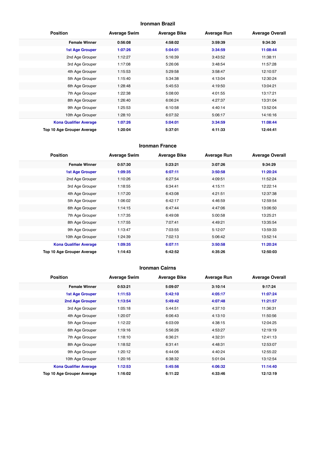#### **Ironman Brazil**

| <b>Position</b>               | <b>Average Swim</b> | <b>Average Bike</b> | <b>Average Run</b> | <b>Average Overall</b> |
|-------------------------------|---------------------|---------------------|--------------------|------------------------|
| <b>Female Winner</b>          | 0:56:08             | 4:58:02             | 3:59:39            | 9:34:30                |
| <b>1st Age Grouper</b>        | 1:07:26             | 5:04:01             | 3:34:59            | 11:08:44               |
| 2nd Age Grouper               | 1:12:27             | 5:16:39             | 3:43:52            | 11:38:11               |
| 3rd Age Grouper               | 1:17:08             | 5:26:06             | 3:48:54            | 11:57:28               |
| 4th Age Grouper               | 1:15:53             | 5:29:58             | 3:58:47            | 12:10:57               |
| 5th Age Grouper               | 1:15:40             | 5:34:38             | 4:13:04            | 12:30:24               |
| 6th Age Grouper               | 1:28:48             | 5:45:53             | 4:19:50            | 13:04:21               |
| 7th Age Grouper               | 1:22:38             | 5:08:00             | 4:01:55            | 13:17:21               |
| 8th Age Grouper               | 1:26:40             | 6:06:24             | 4:27:37            | 13:31:04               |
| 9th Age Grouper               | 1:25:53             | 6:10:58             | 4:40:14            | 13:52:04               |
| 10th Age Grouper              | 1:28:10             | 6:07:32             | 5:06:17            | 14:16:16               |
| <b>Kona Qualifier Average</b> | 1:07:26             | 5:04:01             | 3:34:59            | 11:08:44               |
| Top 10 Age Grouper Average    | 1:20:04             | 5:37:01             | 4:11:33            | 12:44:41               |

#### **Ironman France**

| <b>Position</b>                   | <b>Average Swim</b> | <b>Average Bike</b> | <b>Average Run</b> | <b>Average Overall</b> |
|-----------------------------------|---------------------|---------------------|--------------------|------------------------|
| <b>Female Winner</b>              | 0:57:30             | 5:23:21             | 3:07:26            | 9:34:29                |
| <b>1st Age Grouper</b>            | 1:09:35             | 6:07:11             | 3:50:58            | 11:20:24               |
| 2nd Age Grouper                   | 1:10:26             | 6:27:54             | 4:09:51            | 11:52:24               |
| 3rd Age Grouper                   | 1:18:55             | 6:34:41             | 4:15:11            | 12:22:14               |
| 4th Age Grouper                   | 1:17:20             | 6:43:08             | 4:21:51            | 12:37:38               |
| 5th Age Grouper                   | 1:06:02             | 6:42:17             | 4:46:59            | 12:59:54               |
| 6th Age Grouper                   | 1:14:15             | 6:47:44             | 4:47:06            | 13:06:50               |
| 7th Age Grouper                   | 1:17:35             | 6:49:08             | 5:00:58            | 13:25:21               |
| 8th Age Grouper                   | 1:17:55             | 7:07:41             | 4:49:21            | 13:35:54               |
| 9th Age Grouper                   | 1:13:47             | 7:03:55             | 5:12:07            | 13:59:33               |
| 10th Age Grouper                  | 1:24:39             | 7:02:13             | 5:06:42            | 13:52:14               |
| <b>Kona Qualifier Average</b>     | 1:09:35             | 6:07:11             | 3:50:58            | 11:20:24               |
| <b>Top 10 Age Grouper Average</b> | 1:14:43             | 6:42:52             | 4:35:26            | 12:50:03               |

#### **Ironman Cairns**

| <b>Position</b>               | <b>Average Swim</b> | <b>Average Bike</b> | <b>Average Run</b> | <b>Average Overall</b> |
|-------------------------------|---------------------|---------------------|--------------------|------------------------|
| <b>Female Winner</b>          | 0:53:21             | 5:09:07             | 3:10:14            | 9:17:24                |
| <b>1st Age Grouper</b>        | 1:11:53             | 5:42:10             | 4:05:17            | 11:07:24               |
| <b>2nd Age Grouper</b>        | 1:13:54             | 5:49:42             | 4:07:48            | 11:21:57               |
| 3rd Age Grouper               | 1:05:18             | 5:44:51             | 4:37:10            | 11:36:31               |
| 4th Age Grouper               | 1:20:07             | 6:06:43             | 4:13:10            | 11:50:56               |
| 5th Age Grouper               | 1:12:22             | 6:03:09             | 4:38:15            | 12:04:25               |
| 6th Age Grouper               | 1:19:16             | 5:56:26             | 4:53:27            | 12:19:19               |
| 7th Age Grouper               | 1:18:10             | 6:36:21             | 4:32:31            | 12:41:13               |
| 8th Age Grouper               | 1:18:52             | 6:31:41             | 4:48:31            | 12:53:07               |
| 9th Age Grouper               | 1:20:12             | 6:44:06             | 4:40:24            | 12:55:22               |
| 10th Age Grouper              | 1:20:16             | 6:38:32             | 5:01:04            | 13:12:54               |
| <b>Kona Qualifier Average</b> | 1:12:53             | 5:45:56             | 4:06:32            | 11:14:40               |
| Top 10 Age Grouper Average    | 1:16:02             | 6:11:22             | 4:33:46            | 12:12:19               |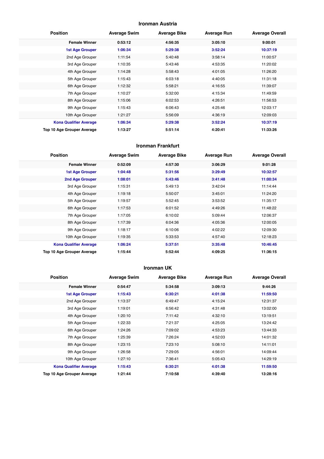#### **Ironman Austria**

| <b>Position</b>               | <b>Average Swim</b> | <b>Average Bike</b> | <b>Average Run</b> | <b>Average Overall</b> |
|-------------------------------|---------------------|---------------------|--------------------|------------------------|
| <b>Female Winner</b>          | 0:53:12             | 4:56:35             | 3:05:10            | 9:00:01                |
| <b>1st Age Grouper</b>        | 1:06:34             | 5:29:38             | 3:52:24            | 10:37:19               |
| 2nd Age Grouper               | 1:11:54             | 5:40:48             | 3:58:14            | 11:00:57               |
| 3rd Age Grouper               | 1:10:35             | 5:43:46             | 4:53:35            | 11:20:02               |
| 4th Age Grouper               | 1:14:28             | 5:58:43             | 4:01:05            | 11:26:20               |
| 5th Age Grouper               | 1:15:43             | 6:03:18             | 4:40:05            | 11:31:18               |
| 6th Age Grouper               | 1:12:32             | 5:58:21             | 4:16:55            | 11:39:07               |
| 7th Age Grouper               | 1:10:27             | 5:32:00             | 4:15:34            | 11:49:59               |
| 8th Age Grouper               | 1:15:06             | 6:02:53             | 4:26:51            | 11:56:53               |
| 9th Age Grouper               | 1:15:43             | 6:06:43             | 4:25:46            | 12:03:17               |
| 10th Age Grouper              | 1:21:27             | 5:56:09             | 4:36:19            | 12:09:03               |
| <b>Kona Qualifier Average</b> | 1:06:34             | 5:29:38             | 3:52:24            | 10:37:19               |
| Top 10 Age Grouper Average    | 1:13:27             | 5:51:14             | 4:20:41            | 11:33:26               |

#### **Ironman Frankfurt**

| <b>Position</b>               | <b>Average Swim</b> | <b>Average Bike</b> | <b>Average Run</b> | <b>Average Overall</b> |
|-------------------------------|---------------------|---------------------|--------------------|------------------------|
| <b>Female Winner</b>          | 0:52:09             | 4:57:30             | 3:06:29            | 9:01:28                |
| <b>1st Age Grouper</b>        | 1:04:48             | 5:31:56             | 3:29:49            | 10:32:57               |
| 2nd Age Grouper               | 1:08:01             | 5:43:46             | 3:41:48            | 11:00:34               |
| 3rd Age Grouper               | 1:15:31             | 5:49:13             | 3:42:04            | 11:14:44               |
| 4th Age Grouper               | 1:19:18             | 5:50:07             | 3:45:01            | 11:24:20               |
| 5th Age Grouper               | 1:19:57             | 5:52:45             | 3:53:52            | 11:35:17               |
| 6th Age Grouper               | 1:17:53             | 6:01:52             | 4:49:26            | 11:48:22               |
| 7th Age Grouper               | 1:17:05             | 6:10:02             | 5:09:44            | 12:06:37               |
| 8th Age Grouper               | 1:17:39             | 6:04:36             | 4:05:36            | 12:00:05               |
| 9th Age Grouper               | 1:18:17             | 6:10:06             | 4:02:22            | 12:09:30               |
| 10th Age Grouper              | 1:19:35             | 5:33:53             | 4:57:40            | 12:18:23               |
| <b>Kona Qualifier Average</b> | 1:06:24             | 5:37:51             | 3:35:48            | 10:46:45               |
| Top 10 Age Grouper Average    | 1:15:44             | 5:52:44             | 4:09:25            | 11:36:15               |

#### **Ironman UK**

| <b>Position</b>               | <b>Average Swim</b> | <b>Average Bike</b> | <b>Average Run</b> | <b>Average Overall</b> |
|-------------------------------|---------------------|---------------------|--------------------|------------------------|
| <b>Female Winner</b>          | 0:54:47             | 5:34:58             | 3:09:13            | 9:44:26                |
| <b>1st Age Grouper</b>        | 1:15:43             | 6:30:21             | 4:01:38            | 11:59:50               |
| 2nd Age Grouper               | 1:13:37             | 6:49:47             | 4:15:24            | 12:31:37               |
| 3rd Age Grouper               | 1:19:01             | 6:56:42             | 4:31:48            | 13:02:00               |
| 4th Age Grouper               | 1:20:10             | 7:11:42             | 4:32:10            | 13:19:51               |
| 5th Age Grouper               | 1:22:33             | 7:21:37             | 4:25:05            | 13:24:42               |
| 6th Age Grouper               | 1:24:26             | 7:09:02             | 4:53:23            | 13:44:33               |
| 7th Age Grouper               | 1:25:39             | 7:26:24             | 4:52:03            | 14:01:32               |
| 8th Age Grouper               | 1:23:15             | 7:23:10             | 5:08:10            | 14:11:01               |
| 9th Age Grouper               | 1:26:58             | 7:29:05             | 4:56:01            | 14:09:44               |
| 10th Age Grouper              | 1:27:10             | 7:36:41             | 5:05:43            | 14:29:19               |
| <b>Kona Qualifier Average</b> | 1:15:43             | 6:30:21             | 4:01:38            | 11:59:50               |
| Top 10 Age Grouper Average    | 1:21:44             | 7:10:58             | 4:39:40            | 13:28:16               |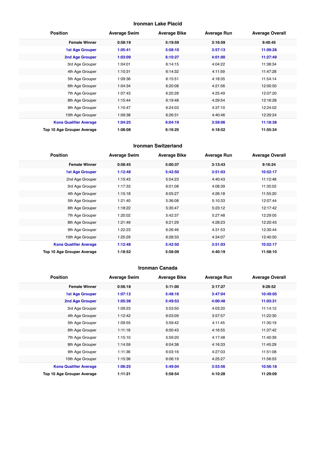#### **Ironman Lake Placid**

| <b>Position</b>               | <b>Average Swim</b> | <b>Average Bike</b> | <b>Average Run</b> | <b>Average Overall</b> |
|-------------------------------|---------------------|---------------------|--------------------|------------------------|
| <b>Female Winner</b>          | 0:58:19             | 5:19:59             | 3:16:59            | 9:40:45                |
| <b>1st Age Grouper</b>        | 1:05:41             | 5:58:10             | 3:57:13            | 11:09:28               |
| 2nd Age Grouper               | 1:03:09             | 6:10:27             | 4:01:00            | 11:27:49               |
| 3rd Age Grouper               | 1:04:01             | 6:14:15             | 4:04:22            | 11:38:34               |
| 4th Age Grouper               | 1:10:31             | 6:14:32             | 4:11:59            | 11:47:28               |
| 5th Age Grouper               | 1:09:36             | 6:15:51             | 4:18:35            | 11:54:14               |
| 6th Age Grouper               | 1:04:34             | 6:20:08             | 4:21:56            | 12:00:50               |
| 7th Age Grouper               | 1:07:43             | 6:20:28             | 4:25:49            | 12:07:20               |
| 8th Age Grouper               | 1:15:44             | 6:19:48             | 4:29:54            | 12:16:28               |
| 9th Age Grouper               | 1:10:47             | 6:24:03             | 4:37:10            | 12:24:02               |
| 10th Age Grouper              | 1:09:38             | 6:26:31             | 4:40:46            | 12:29:24               |
| <b>Kona Qualifier Average</b> | 1:04:25             | 6:04:19             | 3:59:06            | 11:18:38               |
| Top 10 Age Grouper Average    | 1:08:08             | 6:16:25             | 4:18:52            | 11:55:34               |

#### **Ironman Switzerland**

| <b>Position</b>               | <b>Average Swim</b> | <b>Average Bike</b> | <b>Average Run</b> | <b>Average Overall</b> |
|-------------------------------|---------------------|---------------------|--------------------|------------------------|
| <b>Female Winner</b>          | 0:58:45             | 5:00:37             | 3:13:43            | 9:16:24                |
| <b>1st Age Grouper</b>        | 1:12:48             | 5:42:50             | 3:51:03            | 10:52:17               |
| 2nd Age Grouper               | 1:15:43             | 5:54:23             | 4:40:43            | 11:12:48               |
| 3rd Age Grouper               | 1:17:33             | 6:01:08             | 4:08:39            | 11:35:02               |
| 4th Age Grouper               | 1:15:18             | 6:05:27             | 4:26:18            | 11:55:20               |
| 5th Age Grouper               | 1:21:40             | 5:36:08             | 5:10:33            | 12:07:44               |
| 6th Age Grouper               | 1:18:22             | 5:35:47             | 5:23:12            | 12:17:42               |
| 7th Age Grouper               | 1:20:02             | 5:42:37             | 5:27:48            | 12:29:05               |
| 8th Age Grouper               | 1:21:49             | 6:21:29             | 4:28:23            | 12:20:43               |
| 9th Age Grouper               | 1:22:23             | 6:26:46             | 4:31:53            | 12:30:44               |
| 10th Age Grouper              | 1:25:29             | 6:28:33             | 4:34:07            | 12:40:50               |
| <b>Kona Qualifier Average</b> | 1:12:48             | 5:42:50             | 3:51:03            | 10:52:17               |
| Top 10 Age Grouper Average    | 1:18:52             | 5:58:09             | 4:40:19            | 11:58:10               |

#### **Ironman Canada**

| <b>Position</b>               | <b>Average Swim</b> | <b>Average Bike</b> | <b>Average Run</b> | <b>Average Overall</b> |
|-------------------------------|---------------------|---------------------|--------------------|------------------------|
| <b>Female Winner</b>          | 0:56:18             | 5:11:00             | 3:17:27            | 9:28:52                |
| 1st Age Grouper               | 1:07:12             | 5:48:16             | 3:47:04            | 10:49:05               |
| 2nd Age Grouper               | 1:05:38             | 5:49:53             | 4:00:48            | 11:03:31               |
| 3rd Age Grouper               | 1:09:23             | 5:53:50             | 4:03:20            | 11:14:12               |
| 4th Age Grouper               | 1:12:42             | 6:03:09             | 3:57:57            | 11:22:30               |
| 5th Age Grouper               | 1:09:55             | 5:59:42             | 4:11:45            | 11:30:19               |
| 6th Age Grouper               | 1:11:18             | 6:00:43             | 4:16:55            | 11:37:42               |
| 7th Age Grouper               | 1:15:10             | 5:59:20             | 4:17:48            | 11:40:39               |
| 8th Age Grouper               | 1:14:59             | 6:04:38             | 4:16:33            | 11:45:29               |
| 9th Age Grouper               | 1:11:36             | 6:03:16             | 4:27:03            | 11:51:08               |
| 10th Age Grouper              | 1:15:36             | 6:06:19             | 4:25:27            | 11:56:53               |
| <b>Kona Qualifier Average</b> | 1:06:25             | 5:49:04             | 3:53:56            | 10:56:18               |
| Top 10 Age Grouper Average    | 1:11:21             | 5:58:54             | 4:10:28            | 11:29:09               |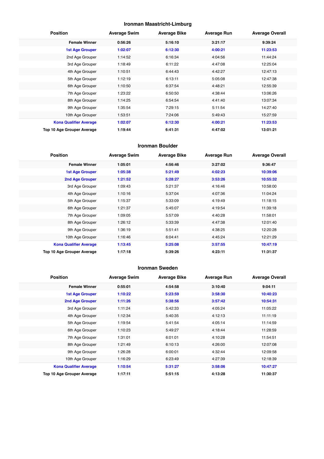#### **Ironman Maastricht-Limburg**

| <b>Position</b>               | <b>Average Swim</b> | <b>Average Bike</b> | <b>Average Run</b> | <b>Average Overall</b> |
|-------------------------------|---------------------|---------------------|--------------------|------------------------|
| <b>Female Winner</b>          | 0:56:26             | 5:16:10             | 3:21:17            | 9:39:24                |
| <b>1st Age Grouper</b>        | 1:02:07             | 6:12:30             | 4:00:21            | 11:23:53               |
| 2nd Age Grouper               | 1:14:52             | 6:16:34             | 4:04:56            | 11:44:24               |
| 3rd Age Grouper               | 1:18:49             | 6:11:22             | 4:47:08            | 12:25:04               |
| 4th Age Grouper               | 1:10:51             | 6:44:43             | 4:42:27            | 12:47:13               |
| 5th Age Grouper               | 1:12:19             | 6:13:11             | 5:05:08            | 12:47:38               |
| 6th Age Grouper               | 1:10:50             | 6:37:54             | 4:48:21            | 12:55:39               |
| 7th Age Grouper               | 1:23:22             | 6:50:50             | 4:38:44            | 13:06:26               |
| 8th Age Grouper               | 1:14:25             | 6:54:54             | 4:41:40            | 13:07:34               |
| 9th Age Grouper               | 1:35:54             | 7:29:15             | 5:11:54            | 14:27:40               |
| 10th Age Grouper              | 1:53:51             | 7:24:06             | 5:49:43            | 15:27:59               |
| <b>Kona Qualifier Average</b> | 1:02:07             | 6:12:30             | 4:00:21            | 11:23:53               |
| Top 10 Age Grouper Average    | 1:19:44             | 6:41:31             | 4:47:02            | 13:01:21               |

#### **Ironman Boulder**

| <b>Position</b>               | <b>Average Swim</b> | <b>Average Bike</b> | <b>Average Run</b> | <b>Average Overall</b> |
|-------------------------------|---------------------|---------------------|--------------------|------------------------|
| <b>Female Winner</b>          | 1:05:01             | 4:56:46             | 3:27:02            | 9:36:47                |
| <b>1st Age Grouper</b>        | 1:05:38             | 5:21:49             | 4:02:23            | 10:39:06               |
| 2nd Age Grouper               | 1:21:52             | 5:28:27             | 3:53:26            | 10:55:32               |
| 3rd Age Grouper               | 1:09:43             | 5:21:37             | 4:16:46            | 10:58:00               |
| 4th Age Grouper               | 1:10:16             | 5:37:04             | 4:07:36            | 11:04:24               |
| 5th Age Grouper               | 1:15:37             | 5:33:09             | 4:19:49            | 11:18:15               |
| 6th Age Grouper               | 1:21:37             | 5:45:07             | 4:19:54            | 11:39:18               |
| 7th Age Grouper               | 1:09:05             | 5:57:09             | 4:40:28            | 11:58:01               |
| 8th Age Grouper               | 1:26:12             | 5:33:39             | 4:47:38            | 12:01:40               |
| 9th Age Grouper               | 1:36:19             | 5:51:41             | 4:38:25            | 12:20:28               |
| 10th Age Grouper              | 1:16:46             | 6:04:41             | 4:45:24            | 12:21:29               |
| <b>Kona Qualifier Average</b> | 1:13:45             | 5:25:08             | 3:57:55            | 10:47:19               |
| Top 10 Age Grouper Average    | 1:17:18             | 5:39:26             | 4:23:11            | 11:31:37               |

#### **Ironman Sweden**

| <b>Position</b>               | <b>Average Swim</b> | <b>Average Bike</b> | <b>Average Run</b> | <b>Average Overall</b> |
|-------------------------------|---------------------|---------------------|--------------------|------------------------|
| <b>Female Winner</b>          | 0:55:01             | 4:54:58             | 3:10:40            | 9:04:11                |
| 1st Age Grouper               | 1:10:22             | 5:23:59             | 3:58:30            | 10:40:23               |
| 2nd Age Grouper               | 1:11:26             | 5:38:56             | 3:57:42            | 10:54:31               |
| 3rd Age Grouper               | 1:11:24             | 5:42:33             | 4:05:24            | 11:05:22               |
| 4th Age Grouper               | 1:12:34             | 5:40:35             | 4:12:13            | 11:11:19               |
| 5th Age Grouper               | 1:19:54             | 5:41:54             | 4:05:14            | 11:14:59               |
| 6th Age Grouper               | 1:10:23             | 5:49:27             | 4:18:44            | 11:28:59               |
| 7th Age Grouper               | 1:31:01             | 6:01:01             | 4:10:28            | 11:54:51               |
| 8th Age Grouper               | 1:21:49             | 6:10:13             | 4:26:00            | 12:07:08               |
| 9th Age Grouper               | 1:26:28             | 6:00:01             | 4:32:44            | 12:09:58               |
| 10th Age Grouper              | 1:16:29             | 6:23:49             | 4:27:39            | 12:18:39               |
| <b>Kona Qualifier Average</b> | 1:10:54             | 5:31:27             | 3:58:06            | 10:47:27               |
| Top 10 Age Grouper Average    | 1:17:11             | 5:51:15             | 4:13:28            | 11:30:37               |